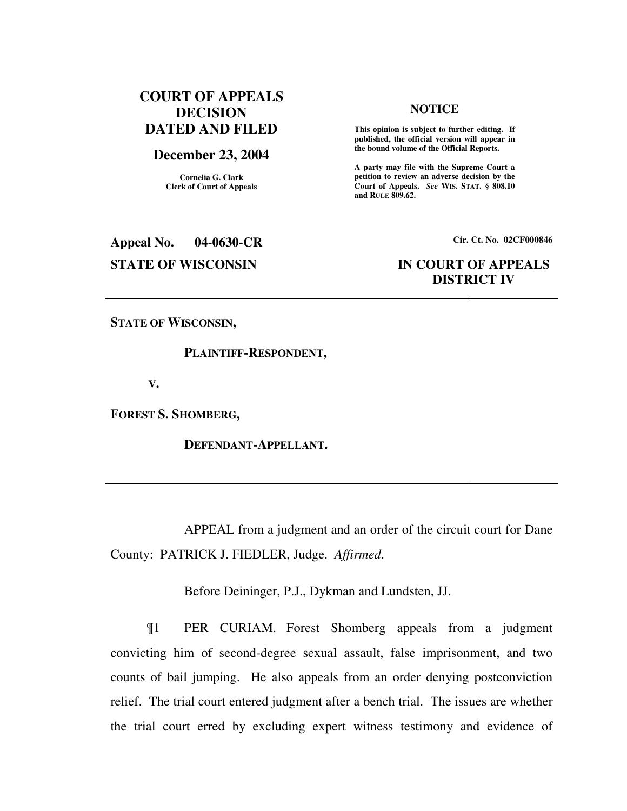## **COURT OF APPEALS DECISION DATED AND FILED**

### **December 23, 2004**

**Cornelia G. Clark Clerk of Court of Appeals**

#### **NOTICE**

 **This opinion is subject to further editing. If published, the official version will appear in the bound volume of the Official Reports.** 

**A party may file with the Supreme Court a petition to review an adverse decision by the Court of Appeals.** *See* **WIS. STAT. § 808.10 and RULE 809.62.** 

**Appeal No. 04-0630-CR Cir. Ct. No. 02CF000846 STATE OF WISCONSIN IN COURT OF APPEALS** 

# **DISTRICT IV**

**STATE OF WISCONSIN,** 

#### **PLAINTIFF-RESPONDENT,**

 **V.** 

**FOREST S. SHOMBERG,** 

 **DEFENDANT-APPELLANT.** 

 APPEAL from a judgment and an order of the circuit court for Dane County: PATRICK J. FIEDLER, Judge. *Affirmed*.

Before Deininger, P.J., Dykman and Lundsten, JJ.

¶1 PER CURIAM. Forest Shomberg appeals from a judgment convicting him of second-degree sexual assault, false imprisonment, and two counts of bail jumping. He also appeals from an order denying postconviction relief. The trial court entered judgment after a bench trial. The issues are whether the trial court erred by excluding expert witness testimony and evidence of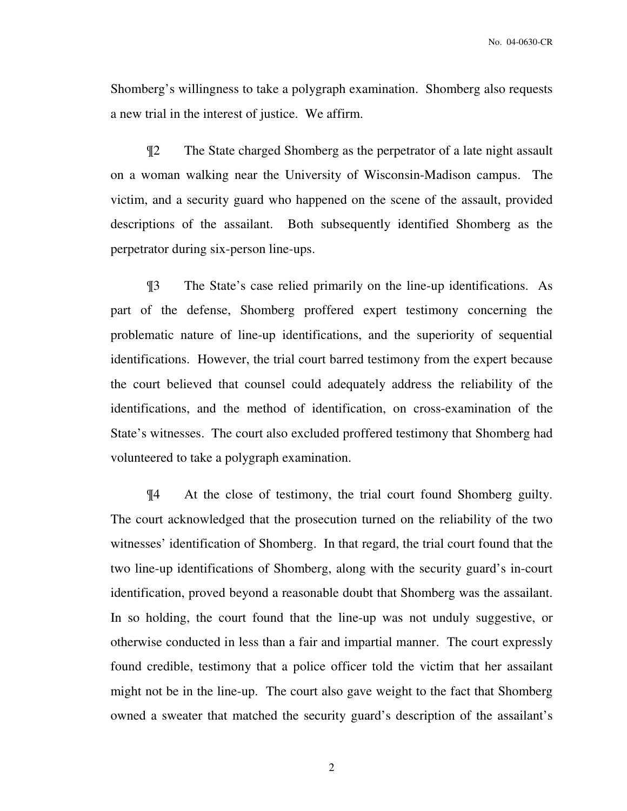Shomberg's willingness to take a polygraph examination. Shomberg also requests a new trial in the interest of justice. We affirm.

¶2 The State charged Shomberg as the perpetrator of a late night assault on a woman walking near the University of Wisconsin-Madison campus. The victim, and a security guard who happened on the scene of the assault, provided descriptions of the assailant. Both subsequently identified Shomberg as the perpetrator during six-person line-ups.

¶3 The State's case relied primarily on the line-up identifications. As part of the defense, Shomberg proffered expert testimony concerning the problematic nature of line-up identifications, and the superiority of sequential identifications. However, the trial court barred testimony from the expert because the court believed that counsel could adequately address the reliability of the identifications, and the method of identification, on cross-examination of the State's witnesses. The court also excluded proffered testimony that Shomberg had volunteered to take a polygraph examination.

¶4 At the close of testimony, the trial court found Shomberg guilty. The court acknowledged that the prosecution turned on the reliability of the two witnesses' identification of Shomberg. In that regard, the trial court found that the two line-up identifications of Shomberg, along with the security guard's in-court identification, proved beyond a reasonable doubt that Shomberg was the assailant. In so holding, the court found that the line-up was not unduly suggestive, or otherwise conducted in less than a fair and impartial manner. The court expressly found credible, testimony that a police officer told the victim that her assailant might not be in the line-up. The court also gave weight to the fact that Shomberg owned a sweater that matched the security guard's description of the assailant's

2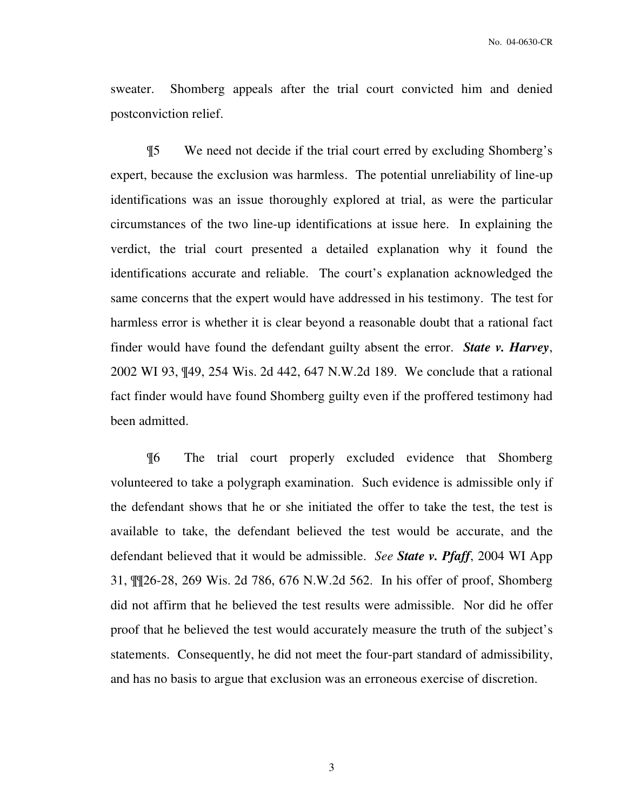sweater. Shomberg appeals after the trial court convicted him and denied postconviction relief.

¶5 We need not decide if the trial court erred by excluding Shomberg's expert, because the exclusion was harmless. The potential unreliability of line-up identifications was an issue thoroughly explored at trial, as were the particular circumstances of the two line-up identifications at issue here. In explaining the verdict, the trial court presented a detailed explanation why it found the identifications accurate and reliable. The court's explanation acknowledged the same concerns that the expert would have addressed in his testimony. The test for harmless error is whether it is clear beyond a reasonable doubt that a rational fact finder would have found the defendant guilty absent the error. *State v. Harvey*, 2002 WI 93, ¶49, 254 Wis. 2d 442, 647 N.W.2d 189. We conclude that a rational fact finder would have found Shomberg guilty even if the proffered testimony had been admitted.

¶6 The trial court properly excluded evidence that Shomberg volunteered to take a polygraph examination. Such evidence is admissible only if the defendant shows that he or she initiated the offer to take the test, the test is available to take, the defendant believed the test would be accurate, and the defendant believed that it would be admissible. *See State v. Pfaff*, 2004 WI App 31, ¶¶26-28, 269 Wis. 2d 786, 676 N.W.2d 562. In his offer of proof, Shomberg did not affirm that he believed the test results were admissible. Nor did he offer proof that he believed the test would accurately measure the truth of the subject's statements. Consequently, he did not meet the four-part standard of admissibility, and has no basis to argue that exclusion was an erroneous exercise of discretion.

3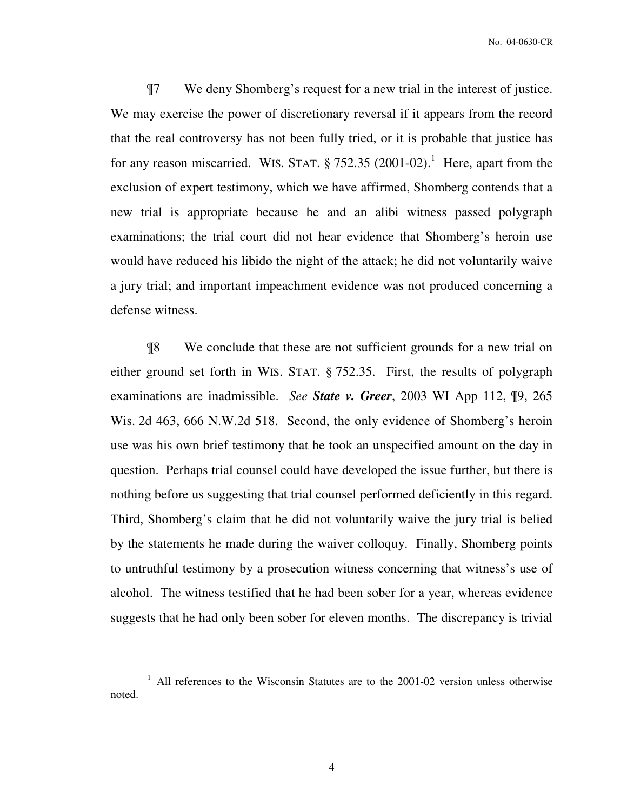¶7 We deny Shomberg's request for a new trial in the interest of justice. We may exercise the power of discretionary reversal if it appears from the record that the real controversy has not been fully tried, or it is probable that justice has for any reason miscarried. WIS. STAT.  $\S 752.35 (2001-02).$ <sup>1</sup> Here, apart from the exclusion of expert testimony, which we have affirmed, Shomberg contends that a new trial is appropriate because he and an alibi witness passed polygraph examinations; the trial court did not hear evidence that Shomberg's heroin use would have reduced his libido the night of the attack; he did not voluntarily waive a jury trial; and important impeachment evidence was not produced concerning a defense witness.

¶8 We conclude that these are not sufficient grounds for a new trial on either ground set forth in WIS. STAT. § 752.35. First, the results of polygraph examinations are inadmissible. *See State v. Greer*, 2003 WI App 112, ¶9, 265 Wis. 2d 463, 666 N.W.2d 518. Second, the only evidence of Shomberg's heroin use was his own brief testimony that he took an unspecified amount on the day in question. Perhaps trial counsel could have developed the issue further, but there is nothing before us suggesting that trial counsel performed deficiently in this regard. Third, Shomberg's claim that he did not voluntarily waive the jury trial is belied by the statements he made during the waiver colloquy. Finally, Shomberg points to untruthful testimony by a prosecution witness concerning that witness's use of alcohol. The witness testified that he had been sober for a year, whereas evidence suggests that he had only been sober for eleven months. The discrepancy is trivial

 $\overline{a}$ 

<sup>&</sup>lt;sup>1</sup> All references to the Wisconsin Statutes are to the 2001-02 version unless otherwise noted.